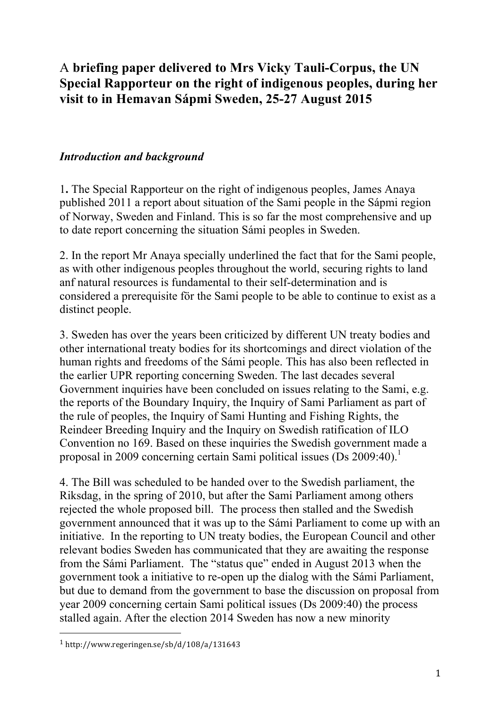# A **briefing paper delivered to Mrs Vicky Tauli-Corpus, the UN Special Rapporteur on the right of indigenous peoples, during her visit to in Hemavan Sápmi Sweden, 25-27 August 2015**

#### *Introduction and background*

1**.** The Special Rapporteur on the right of indigenous peoples, James Anaya published 2011 a report about situation of the Sami people in the Sápmi region of Norway, Sweden and Finland. This is so far the most comprehensive and up to date report concerning the situation Sámi peoples in Sweden.

2. In the report Mr Anaya specially underlined the fact that for the Sami people, as with other indigenous peoples throughout the world, securing rights to land anf natural resources is fundamental to their self-determination and is considered a prerequisite för the Sami people to be able to continue to exist as a distinct people.

3. Sweden has over the years been criticized by different UN treaty bodies and other international treaty bodies for its shortcomings and direct violation of the human rights and freedoms of the Sámi people. This has also been reflected in the earlier UPR reporting concerning Sweden. The last decades several Government inquiries have been concluded on issues relating to the Sami, e.g. the reports of the Boundary Inquiry, the Inquiry of Sami Parliament as part of the rule of peoples, the Inquiry of Sami Hunting and Fishing Rights, the Reindeer Breeding Inquiry and the Inquiry on Swedish ratification of ILO Convention no 169. Based on these inquiries the Swedish government made a proposal in 2009 concerning certain Sami political issues (Ds 2009:40). 1

4. The Bill was scheduled to be handed over to the Swedish parliament, the Riksdag, in the spring of 2010, but after the Sami Parliament among others rejected the whole proposed bill. The process then stalled and the Swedish government announced that it was up to the Sámi Parliament to come up with an initiative. In the reporting to UN treaty bodies, the European Council and other relevant bodies Sweden has communicated that they are awaiting the response from the Sámi Parliament. The "status que" ended in August 2013 when the government took a initiative to re-open up the dialog with the Sámi Parliament, but due to demand from the government to base the discussion on proposal from year 2009 concerning certain Sami political issues (Ds 2009:40) the process stalled again. After the election 2014 Sweden has now a new minority

 

<sup>1</sup> http://www.regeringen.se/sb/d/108/a/131643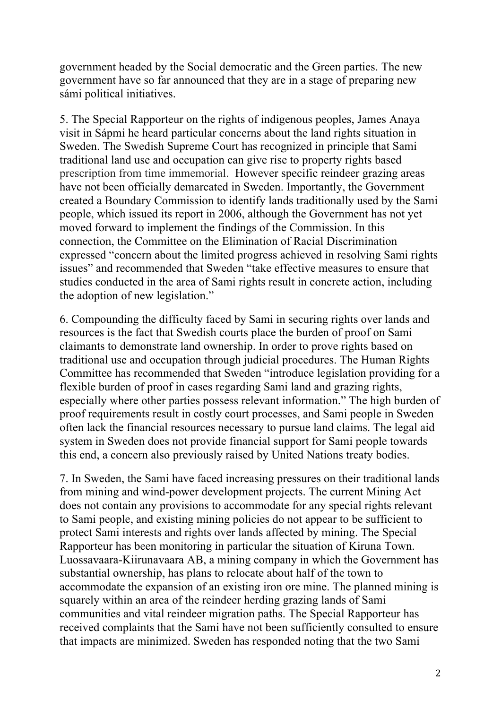government headed by the Social democratic and the Green parties. The new government have so far announced that they are in a stage of preparing new sámi political initiatives.

5. The Special Rapporteur on the rights of indigenous peoples, James Anaya visit in Sápmi he heard particular concerns about the land rights situation in Sweden. The Swedish Supreme Court has recognized in principle that Sami traditional land use and occupation can give rise to property rights based prescription from time immemorial. However specific reindeer grazing areas have not been officially demarcated in Sweden. Importantly, the Government created a Boundary Commission to identify lands traditionally used by the Sami people, which issued its report in 2006, although the Government has not yet moved forward to implement the findings of the Commission. In this connection, the Committee on the Elimination of Racial Discrimination expressed "concern about the limited progress achieved in resolving Sami rights issues" and recommended that Sweden "take effective measures to ensure that studies conducted in the area of Sami rights result in concrete action, including the adoption of new legislation."

6. Compounding the difficulty faced by Sami in securing rights over lands and resources is the fact that Swedish courts place the burden of proof on Sami claimants to demonstrate land ownership. In order to prove rights based on traditional use and occupation through judicial procedures. The Human Rights Committee has recommended that Sweden "introduce legislation providing for a flexible burden of proof in cases regarding Sami land and grazing rights, especially where other parties possess relevant information." The high burden of proof requirements result in costly court processes, and Sami people in Sweden often lack the financial resources necessary to pursue land claims. The legal aid system in Sweden does not provide financial support for Sami people towards this end, a concern also previously raised by United Nations treaty bodies.

7. In Sweden, the Sami have faced increasing pressures on their traditional lands from mining and wind-power development projects. The current Mining Act does not contain any provisions to accommodate for any special rights relevant to Sami people, and existing mining policies do not appear to be sufficient to protect Sami interests and rights over lands affected by mining. The Special Rapporteur has been monitoring in particular the situation of Kiruna Town. Luossavaara-Kiirunavaara AB, a mining company in which the Government has substantial ownership, has plans to relocate about half of the town to accommodate the expansion of an existing iron ore mine. The planned mining is squarely within an area of the reindeer herding grazing lands of Sami communities and vital reindeer migration paths. The Special Rapporteur has received complaints that the Sami have not been sufficiently consulted to ensure that impacts are minimized. Sweden has responded noting that the two Sami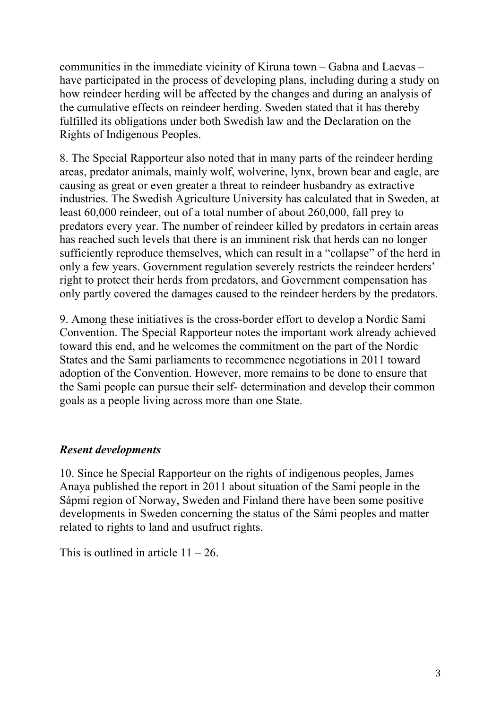communities in the immediate vicinity of Kiruna town – Gabna and Laevas – have participated in the process of developing plans, including during a study on how reindeer herding will be affected by the changes and during an analysis of the cumulative effects on reindeer herding. Sweden stated that it has thereby fulfilled its obligations under both Swedish law and the Declaration on the Rights of Indigenous Peoples.

8. The Special Rapporteur also noted that in many parts of the reindeer herding areas, predator animals, mainly wolf, wolverine, lynx, brown bear and eagle, are causing as great or even greater a threat to reindeer husbandry as extractive industries. The Swedish Agriculture University has calculated that in Sweden, at least 60,000 reindeer, out of a total number of about 260,000, fall prey to predators every year. The number of reindeer killed by predators in certain areas has reached such levels that there is an imminent risk that herds can no longer sufficiently reproduce themselves, which can result in a "collapse" of the herd in only a few years. Government regulation severely restricts the reindeer herders' right to protect their herds from predators, and Government compensation has only partly covered the damages caused to the reindeer herders by the predators.

9. Among these initiatives is the cross-border effort to develop a Nordic Sami Convention. The Special Rapporteur notes the important work already achieved toward this end, and he welcomes the commitment on the part of the Nordic States and the Sami parliaments to recommence negotiations in 2011 toward adoption of the Convention. However, more remains to be done to ensure that the Sami people can pursue their self- determination and develop their common goals as a people living across more than one State.

### *Resent developments*

10. Since he Special Rapporteur on the rights of indigenous peoples, James Anaya published the report in 2011 about situation of the Sami people in the Sápmi region of Norway, Sweden and Finland there have been some positive developments in Sweden concerning the status of the Sámi peoples and matter related to rights to land and usufruct rights.

This is outlined in article  $11 - 26$ .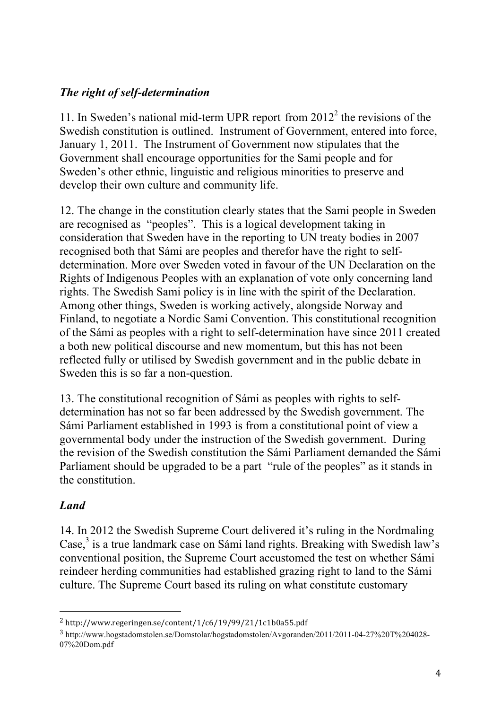## *The right of self-determination*

11. In Sweden's national mid-term UPR report from  $2012<sup>2</sup>$  the revisions of the Swedish constitution is outlined. Instrument of Government, entered into force, January 1, 2011. The Instrument of Government now stipulates that the Government shall encourage opportunities for the Sami people and for Sweden's other ethnic, linguistic and religious minorities to preserve and develop their own culture and community life.

12. The change in the constitution clearly states that the Sami people in Sweden are recognised as "peoples". This is a logical development taking in consideration that Sweden have in the reporting to UN treaty bodies in 2007 recognised both that Sámi are peoples and therefor have the right to selfdetermination. More over Sweden voted in favour of the UN Declaration on the Rights of Indigenous Peoples with an explanation of vote only concerning land rights. The Swedish Sami policy is in line with the spirit of the Declaration. Among other things, Sweden is working actively, alongside Norway and Finland, to negotiate a Nordic Sami Convention. This constitutional recognition of the Sámi as peoples with a right to self-determination have since 2011 created a both new political discourse and new momentum, but this has not been reflected fully or utilised by Swedish government and in the public debate in Sweden this is so far a non-question.

13. The constitutional recognition of Sámi as peoples with rights to selfdetermination has not so far been addressed by the Swedish government. The Sámi Parliament established in 1993 is from a constitutional point of view a governmental body under the instruction of the Swedish government. During the revision of the Swedish constitution the Sámi Parliament demanded the Sámi Parliament should be upgraded to be a part "rule of the peoples" as it stands in the constitution.

### *Land*

14. In 2012 the Swedish Supreme Court delivered it's ruling in the Nordmaling  $\text{Case}^3$  is a true landmark case on Sámi land rights. Breaking with Swedish law's conventional position, the Supreme Court accustomed the test on whether Sámi reindeer herding communities had established grazing right to land to the Sámi culture. The Supreme Court based its ruling on what constitute customary

 

<sup>2</sup> http://www.regeringen.se/content/1/c6/19/99/21/1c1b0a55.pdf

<sup>3</sup> http://www.hogstadomstolen.se/Domstolar/hogstadomstolen/Avgoranden/2011/2011-04-27%20T%204028- 07%20Dom.pdf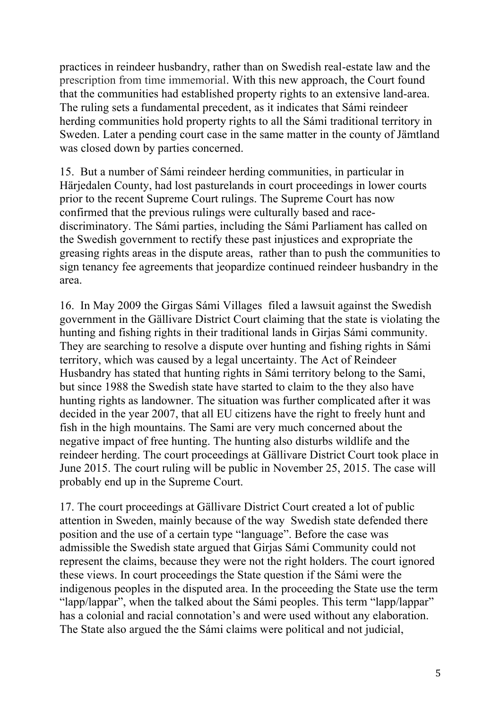practices in reindeer husbandry, rather than on Swedish real-estate law and the prescription from time immemorial. With this new approach, the Court found that the communities had established property rights to an extensive land-area. The ruling sets a fundamental precedent, as it indicates that Sámi reindeer herding communities hold property rights to all the Sámi traditional territory in Sweden. Later a pending court case in the same matter in the county of Jämtland was closed down by parties concerned.

15. But a number of Sámi reindeer herding communities, in particular in Härjedalen County, had lost pasturelands in court proceedings in lower courts prior to the recent Supreme Court rulings. The Supreme Court has now confirmed that the previous rulings were culturally based and racediscriminatory. The Sámi parties, including the Sámi Parliament has called on the Swedish government to rectify these past injustices and expropriate the greasing rights areas in the dispute areas, rather than to push the communities to sign tenancy fee agreements that jeopardize continued reindeer husbandry in the area.

16. In May 2009 the Girgas Sámi Villages filed a lawsuit against the Swedish government in the Gällivare District Court claiming that the state is violating the hunting and fishing rights in their traditional lands in Girjas Sámi community. They are searching to resolve a dispute over hunting and fishing rights in Sámi territory, which was caused by a legal uncertainty. The Act of Reindeer Husbandry has stated that hunting rights in Sámi territory belong to the Sami, but since 1988 the Swedish state have started to claim to the they also have hunting rights as landowner. The situation was further complicated after it was decided in the year 2007, that all EU citizens have the right to freely hunt and fish in the high mountains. The Sami are very much concerned about the negative impact of free hunting. The hunting also disturbs wildlife and the reindeer herding. The court proceedings at Gällivare District Court took place in June 2015. The court ruling will be public in November 25, 2015. The case will probably end up in the Supreme Court.

17. The court proceedings at Gällivare District Court created a lot of public attention in Sweden, mainly because of the way Swedish state defended there position and the use of a certain type "language". Before the case was admissible the Swedish state argued that Girjas Sámi Community could not represent the claims, because they were not the right holders. The court ignored these views. In court proceedings the State question if the Sámi were the indigenous peoples in the disputed area. In the proceeding the State use the term "lapp/lappar", when the talked about the Sámi peoples. This term "lapp/lappar" has a colonial and racial connotation's and were used without any elaboration. The State also argued the the Sámi claims were political and not judicial,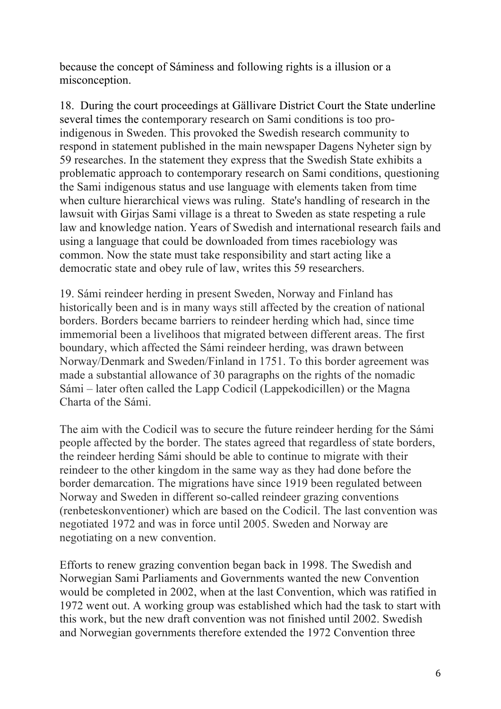because the concept of Sáminess and following rights is a illusion or a misconception.

18. During the court proceedings at Gällivare District Court the State underline several times the contemporary research on Sami conditions is too proindigenous in Sweden. This provoked the Swedish research community to respond in statement published in the main newspaper Dagens Nyheter sign by 59 researches. In the statement they express that the Swedish State exhibits a problematic approach to contemporary research on Sami conditions, questioning the Sami indigenous status and use language with elements taken from time when culture hierarchical views was ruling. State's handling of research in the lawsuit with Girjas Sami village is a threat to Sweden as state respeting a rule law and knowledge nation. Years of Swedish and international research fails and using a language that could be downloaded from times racebiology was common. Now the state must take responsibility and start acting like a democratic state and obey rule of law, writes this 59 researchers.

19. Sámi reindeer herding in present Sweden, Norway and Finland has historically been and is in many ways still affected by the creation of national borders. Borders became barriers to reindeer herding which had, since time immemorial been a livelihoos that migrated between different areas. The first boundary, which affected the Sámi reindeer herding, was drawn between Norway/Denmark and Sweden/Finland in 1751. To this border agreement was made a substantial allowance of 30 paragraphs on the rights of the nomadic Sámi – later often called the Lapp Codicil (Lappekodicillen) or the Magna Charta of the Sámi.

The aim with the Codicil was to secure the future reindeer herding for the Sámi people affected by the border. The states agreed that regardless of state borders, the reindeer herding Sámi should be able to continue to migrate with their reindeer to the other kingdom in the same way as they had done before the border demarcation. The migrations have since 1919 been regulated between Norway and Sweden in different so-called reindeer grazing conventions (renbeteskonventioner) which are based on the Codicil. The last convention was negotiated 1972 and was in force until 2005. Sweden and Norway are negotiating on a new convention.

Efforts to renew grazing convention began back in 1998. The Swedish and Norwegian Sami Parliaments and Governments wanted the new Convention would be completed in 2002, when at the last Convention, which was ratified in 1972 went out. A working group was established which had the task to start with this work, but the new draft convention was not finished until 2002. Swedish and Norwegian governments therefore extended the 1972 Convention three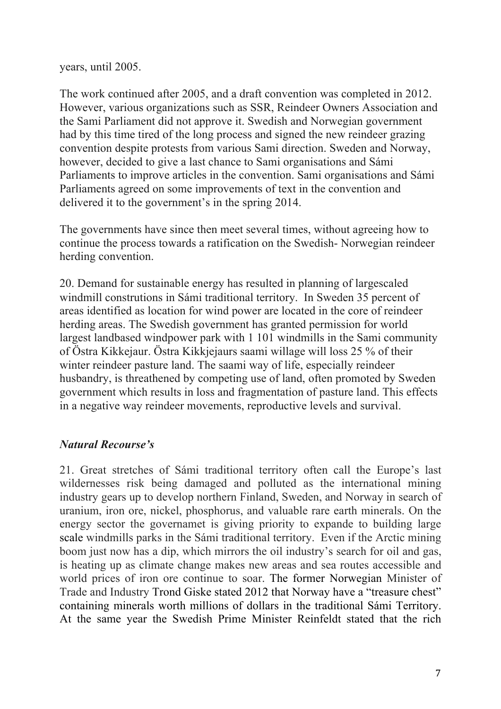years, until 2005.

The work continued after 2005, and a draft convention was completed in 2012. However, various organizations such as SSR, Reindeer Owners Association and the Sami Parliament did not approve it. Swedish and Norwegian government had by this time tired of the long process and signed the new reindeer grazing convention despite protests from various Sami direction. Sweden and Norway, however, decided to give a last chance to Sami organisations and Sámi Parliaments to improve articles in the convention. Sami organisations and Sámi Parliaments agreed on some improvements of text in the convention and delivered it to the government's in the spring 2014.

The governments have since then meet several times, without agreeing how to continue the process towards a ratification on the Swedish- Norwegian reindeer herding convention.

20. Demand for sustainable energy has resulted in planning of largescaled windmill construtions in Sámi traditional territory. In Sweden 35 percent of areas identified as location for wind power are located in the core of reindeer herding areas. The Swedish government has granted permission for world largest landbased windpower park with 1 101 windmills in the Sami community of Östra Kikkejaur. Östra Kikkjejaurs saami willage will loss 25 % of their winter reindeer pasture land. The saami way of life, especially reindeer husbandry, is threathened by competing use of land, often promoted by Sweden government which results in loss and fragmentation of pasture land. This effects in a negative way reindeer movements, reproductive levels and survival.

### *Natural Recourse's*

21. Great stretches of Sámi traditional territory often call the Europe's last wildernesses risk being damaged and polluted as the international mining industry gears up to develop northern Finland, Sweden, and Norway in search of uranium, iron ore, nickel, phosphorus, and valuable rare earth minerals. On the energy sector the governamet is giving priority to expande to building large scale windmills parks in the Sámi traditional territory. Even if the Arctic mining boom just now has a dip, which mirrors the oil industry's search for oil and gas, is heating up as climate change makes new areas and sea routes accessible and world prices of iron ore continue to soar. The former Norwegian Minister of Trade and Industry Trond Giske stated 2012 that Norway have a "treasure chest" containing minerals worth millions of dollars in the traditional Sámi Territory. At the same year the Swedish Prime Minister Reinfeldt stated that the rich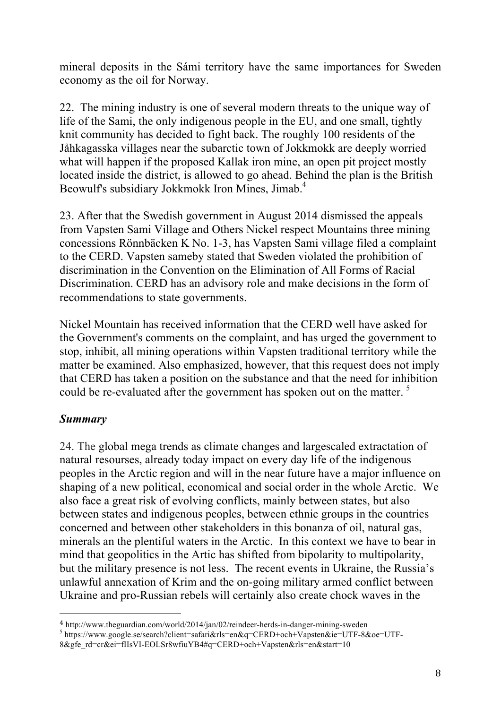mineral deposits in the Sámi territory have the same importances for Sweden economy as the oil for Norway.

22. The mining industry is one of several modern threats to the unique way of life of the Sami, the only indigenous people in the EU, and one small, tightly knit community has decided to fight back. The roughly 100 residents of the Jåhkagasska villages near the subarctic town of Jokkmokk are deeply worried what will happen if the proposed Kallak iron mine, an open pit project mostly located inside the district, is allowed to go ahead. Behind the plan is the British Beowulf's subsidiary Jokkmokk Iron Mines, Jimab.<sup>4</sup>

23. After that the Swedish government in August 2014 dismissed the appeals from Vapsten Sami Village and Others Nickel respect Mountains three mining concessions Rönnbäcken K No. 1-3, has Vapsten Sami village filed a complaint to the CERD. Vapsten sameby stated that Sweden violated the prohibition of discrimination in the Convention on the Elimination of All Forms of Racial Discrimination. CERD has an advisory role and make decisions in the form of recommendations to state governments.

Nickel Mountain has received information that the CERD well have asked for the Government's comments on the complaint, and has urged the government to stop, inhibit, all mining operations within Vapsten traditional territory while the matter be examined. Also emphasized, however, that this request does not imply that CERD has taken a position on the substance and that the need for inhibition could be re-evaluated after the government has spoken out on the matter.<sup>5</sup>

### *Summary*

 

24. The global mega trends as climate changes and largescaled extractation of natural resourses, already today impact on every day life of the indigenous peoples in the Arctic region and will in the near future have a major influence on shaping of a new political, economical and social order in the whole Arctic. We also face a great risk of evolving conflicts, mainly between states, but also between states and indigenous peoples, between ethnic groups in the countries concerned and between other stakeholders in this bonanza of oil, natural gas, minerals an the plentiful waters in the Arctic. In this context we have to bear in mind that geopolitics in the Artic has shifted from bipolarity to multipolarity, but the military presence is not less. The recent events in Ukraine, the Russia's unlawful annexation of Krim and the on-going military armed conflict between Ukraine and pro-Russian rebels will certainly also create chock waves in the

 $5$  https://www.google.se/search?client=safari&rls=en&q=CERD+och+Vapsten&ie=UTF-8&oe=UTF-

<sup>4</sup> http://www.theguardian.com/world/2014/jan/02/reindeer-herds-in-danger-mining-sweden

<sup>8&</sup>amp;gfe\_rd=cr&ei=fIIsVI-EOLSr8wfiuYB4#q=CERD+och+Vapsten&rls=en&start=10